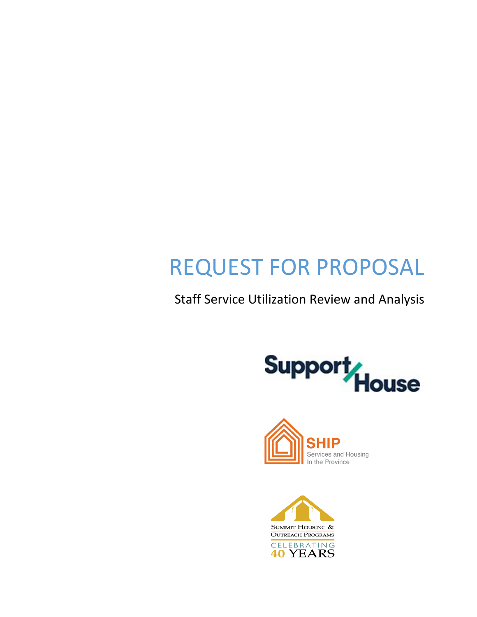# REQUEST FOR PROPOSAL

Staff Service Utilization Review and Analysis





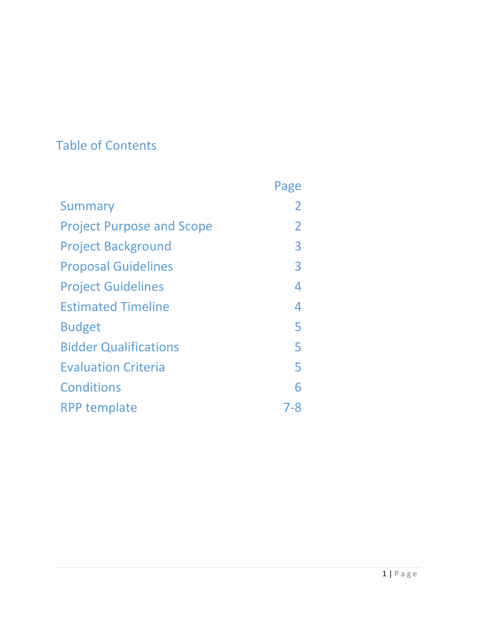## Table of Contents

|                                  | Page           |
|----------------------------------|----------------|
| Summary                          | 2              |
| <b>Project Purpose and Scope</b> | $\overline{2}$ |
| <b>Project Background</b>        | 3              |
| <b>Proposal Guidelines</b>       | 3              |
| <b>Project Guidelines</b>        | 4              |
| <b>Estimated Timeline</b>        | 4              |
| <b>Budget</b>                    | 5              |
| <b>Bidder Qualifications</b>     | 5              |
| <b>Evaluation Criteria</b>       | 5              |
| <b>Conditions</b>                | 6              |
| <b>RPP template</b>              | 7-8            |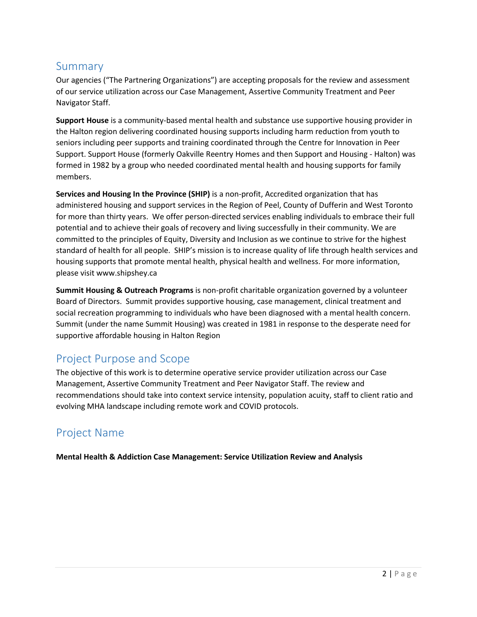## Summary

Our agencies ("The Partnering Organizations") are accepting proposals for the review and assessment of our service utilization across our Case Management, Assertive Community Treatment and Peer Navigator Staff.

**Support House** is a community-based mental health and substance use supportive housing provider in the Halton region delivering coordinated housing supports including harm reduction from youth to seniors including peer supports and training coordinated through the Centre for Innovation in Peer Support. Support House (formerly Oakville Reentry Homes and then Support and Housing - Halton) was formed in 1982 by a group who needed coordinated mental health and housing supports for family members.

**Services and Housing In the Province (SHIP)** is a non-profit, Accredited organization that has administered housing and support services in the Region of Peel, County of Dufferin and West Toronto for more than thirty years. We offer person-directed services enabling individuals to embrace their full potential and to achieve their goals of recovery and living successfully in their community. We are committed to the principles of Equity, Diversity and Inclusion as we continue to strive for the highest standard of health for all people. SHIP's mission is to increase quality of life through health services and housing supports that promote mental health, physical health and wellness. For more information, please visit [www.shipshey.ca](http://www.shipshey.ca/)

**Summit Housing & Outreach Programs** is non-profit charitable organization governed by a volunteer Board of Directors. Summit provides supportive housing, case management, clinical treatment and social recreation programming to individuals who have been diagnosed with a mental health concern. Summit (under the name Summit Housing) was created in 1981 in response to the desperate need for supportive affordable housing in Halton Region

## Project Purpose and Scope

The objective of this work is to determine operative service provider utilization across our Case Management, Assertive Community Treatment and Peer Navigator Staff. The review and recommendations should take into context service intensity, population acuity, staff to client ratio and evolving MHA landscape including remote work and COVID protocols.

## Project Name

**Mental Health & Addiction Case Management: Service Utilization Review and Analysis**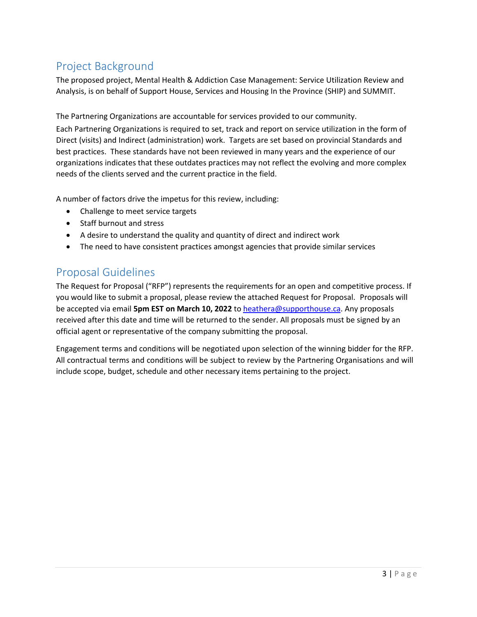## Project Background

The proposed project, Mental Health & Addiction Case Management: Service Utilization Review and Analysis, is on behalf of Support House, Services and Housing In the Province (SHIP) and SUMMIT.

The Partnering Organizations are accountable for services provided to our community. Each Partnering Organizations is required to set, track and report on service utilization in the form of Direct (visits) and Indirect (administration) work. Targets are set based on provincial Standards and best practices. These standards have not been reviewed in many years and the experience of our organizations indicates that these outdates practices may not reflect the evolving and more complex needs of the clients served and the current practice in the field.

A number of factors drive the impetus for this review, including:

- Challenge to meet service targets
- Staff burnout and stress
- A desire to understand the quality and quantity of direct and indirect work
- The need to have consistent practices amongst agencies that provide similar services

## Proposal Guidelines

The Request for Proposal ("RFP") represents the requirements for an open and competitive process. If you would like to submit a proposal, please review the attached Request for Proposal. Proposals will be accepted via email **5pm EST on March 10, 2022** to [heathera@supporthouse.ca.](mailto:heathera@supporthouse.ca) Any proposals received after this date and time will be returned to the sender. All proposals must be signed by an official agent or representative of the company submitting the proposal.

Engagement terms and conditions will be negotiated upon selection of the winning bidder for the RFP. All contractual terms and conditions will be subject to review by the Partnering Organisations and will include scope, budget, schedule and other necessary items pertaining to the project.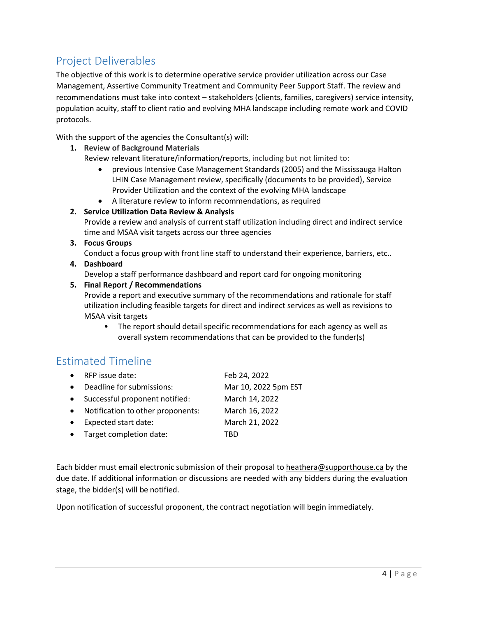## Project Deliverables

The objective of this work is to determine operative service provider utilization across our Case Management, Assertive Community Treatment and Community Peer Support Staff. The review and recommendations must take into context – stakeholders (clients, families, caregivers) service intensity, population acuity, staff to client ratio and evolving MHA landscape including remote work and COVID protocols.

With the support of the agencies the Consultant(s) will:

- **1. Review of Background Materials** Review relevant literature/information/reports, including but not limited to:
	- previous Intensive Case Management Standards (2005) and the Mississauga Halton LHIN Case Management review, specifically (documents to be provided), Service Provider Utilization and the context of the evolving MHA landscape
	- A literature review to inform recommendations, as required

#### **2. Service Utilization Data Review & Analysis**

Provide a review and analysis of current staff utilization including direct and indirect service time and MSAA visit targets across our three agencies

**3. Focus Groups**

Conduct a focus group with front line staff to understand their experience, barriers, etc..

**4. Dashboard**

Develop a staff performance dashboard and report card for ongoing monitoring

#### **5. Final Report / Recommendations**

Provide a report and executive summary of the recommendations and rationale for staff utilization including feasible targets for direct and indirect services as well as revisions to MSAA visit targets

• The report should detail specific recommendations for each agency as well as overall system recommendations that can be provided to the funder(s)

### Estimated Timeline

- RFP issue date: Feb 24, 2022 • Deadline for submissions: Mar 10, 2022 5pm EST • Successful proponent notified: March 14, 2022
- Notification to other proponents: March 16, 2022
- Expected start date: March 21, 2022
- Target completion date: TBD

Each bidder must email electronic submission of their proposal to [heathera@supporthouse.ca](mailto:heathera@supporthouse.ca) by the due date. If additional information or discussions are needed with any bidders during the evaluation stage, the bidder(s) will be notified.

Upon notification of successful proponent, the contract negotiation will begin immediately.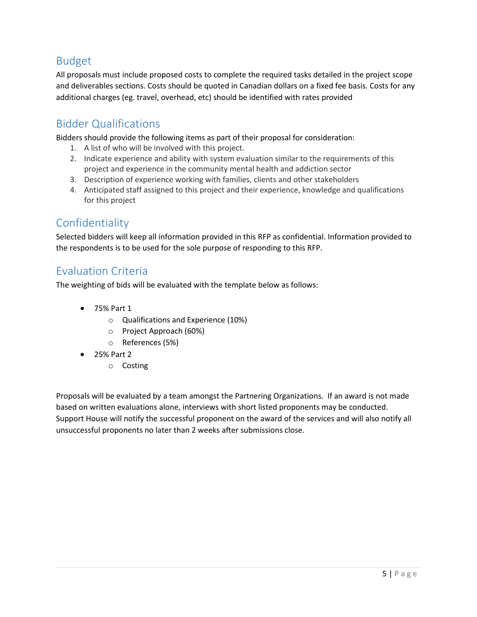## Budget

All proposals must include proposed costs to complete the required tasks detailed in the project scope and deliverables sections. Costs should be quoted in Canadian dollars on a fixed fee basis. Costs for any additional charges (eg. travel, overhead, etc) should be identified with rates provided

## Bidder Qualifications

Bidders should provide the following items as part of their proposal for consideration:

- 1. A list of who will be involved with this project.
- 2. Indicate experience and ability with system evaluation similar to the requirements of this project and experience in the community mental health and addiction sector
- 3. Description of experience working with families, clients and other stakeholders
- 4. Anticipated staff assigned to this project and their experience, knowledge and qualifications for this project

## Confidentiality

Selected bidders will keep all information provided in this RFP as confidential. Information provided to the respondents is to be used for the sole purpose of responding to this RFP.

## Evaluation Criteria

The weighting of bids will be evaluated with the template below as follows:

- 75% Part 1
	- o Qualifications and Experience (10%)
	- o Project Approach (60%)
	- o References (5%)
- 25% Part 2
	- o Costing

Proposals will be evaluated by a team amongst the Partnering Organizations. If an award is not made based on written evaluations alone, interviews with short listed proponents may be conducted. Support House will notify the successful proponent on the award of the services and will also notify all unsuccessful proponents no later than 2 weeks after submissions close.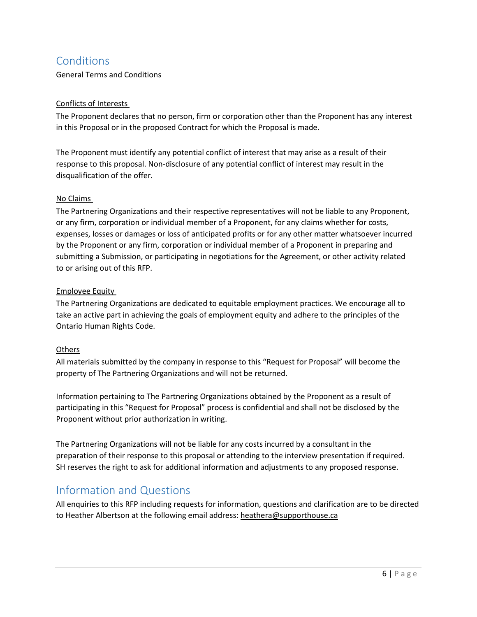## **Conditions**

General Terms and Conditions

#### Conflicts of Interests

The Proponent declares that no person, firm or corporation other than the Proponent has any interest in this Proposal or in the proposed Contract for which the Proposal is made.

The Proponent must identify any potential conflict of interest that may arise as a result of their response to this proposal. Non-disclosure of any potential conflict of interest may result in the disqualification of the offer.

#### No Claims

The Partnering Organizations and their respective representatives will not be liable to any Proponent, or any firm, corporation or individual member of a Proponent, for any claims whether for costs, expenses, losses or damages or loss of anticipated profits or for any other matter whatsoever incurred by the Proponent or any firm, corporation or individual member of a Proponent in preparing and submitting a Submission, or participating in negotiations for the Agreement, or other activity related to or arising out of this RFP.

#### Employee Equity

The Partnering Organizations are dedicated to equitable employment practices. We encourage all to take an active part in achieving the goals of employment equity and adhere to the principles of the Ontario Human Rights Code.

#### Others

All materials submitted by the company in response to this "Request for Proposal" will become the property of The Partnering Organizations and will not be returned.

Information pertaining to The Partnering Organizations obtained by the Proponent as a result of participating in this "Request for Proposal" process is confidential and shall not be disclosed by the Proponent without prior authorization in writing.

The Partnering Organizations will not be liable for any costs incurred by a consultant in the preparation of their response to this proposal or attending to the interview presentation if required. SH reserves the right to ask for additional information and adjustments to any proposed response.

### Information and Questions

All enquiries to this RFP including requests for information, questions and clarification are to be directed to Heather Albertson at the following email address: [heathera@supporthouse.ca](mailto:heathera@supporthouse.ca)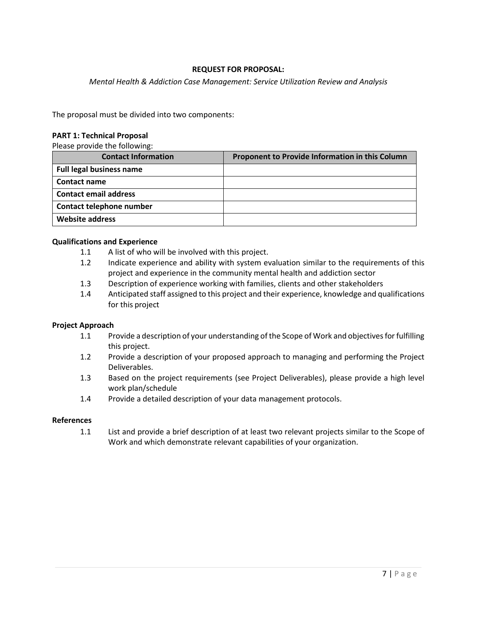#### **REQUEST FOR PROPOSAL:**

*Mental Health & Addiction Case Management: Service Utilization Review and Analysis*

The proposal must be divided into two components:

#### **PART 1: Technical Proposal**

Please provide the following:

| <b>Contact Information</b>      | Proponent to Provide Information in this Column |
|---------------------------------|-------------------------------------------------|
| <b>Full legal business name</b> |                                                 |
| <b>Contact name</b>             |                                                 |
| <b>Contact email address</b>    |                                                 |
| Contact telephone number        |                                                 |
| Website address                 |                                                 |

#### **Qualifications and Experience**

- 1.1 A list of who will be involved with this project.
- 1.2 Indicate experience and ability with system evaluation similar to the requirements of this project and experience in the community mental health and addiction sector
- 1.3 Description of experience working with families, clients and other stakeholders
- 1.4 Anticipated staff assigned to this project and their experience, knowledge and qualifications for this project

#### **Project Approach**

- 1.1 Provide a description of your understanding of the Scope of Work and objectives for fulfilling this project.
- 1.2 Provide a description of your proposed approach to managing and performing the Project Deliverables.
- 1.3 Based on the project requirements (see Project Deliverables), please provide a high level work plan/schedule
- 1.4 Provide a detailed description of your data management protocols.

#### **References**

1.1 List and provide a brief description of at least two relevant projects similar to the Scope of Work and which demonstrate relevant capabilities of your organization.